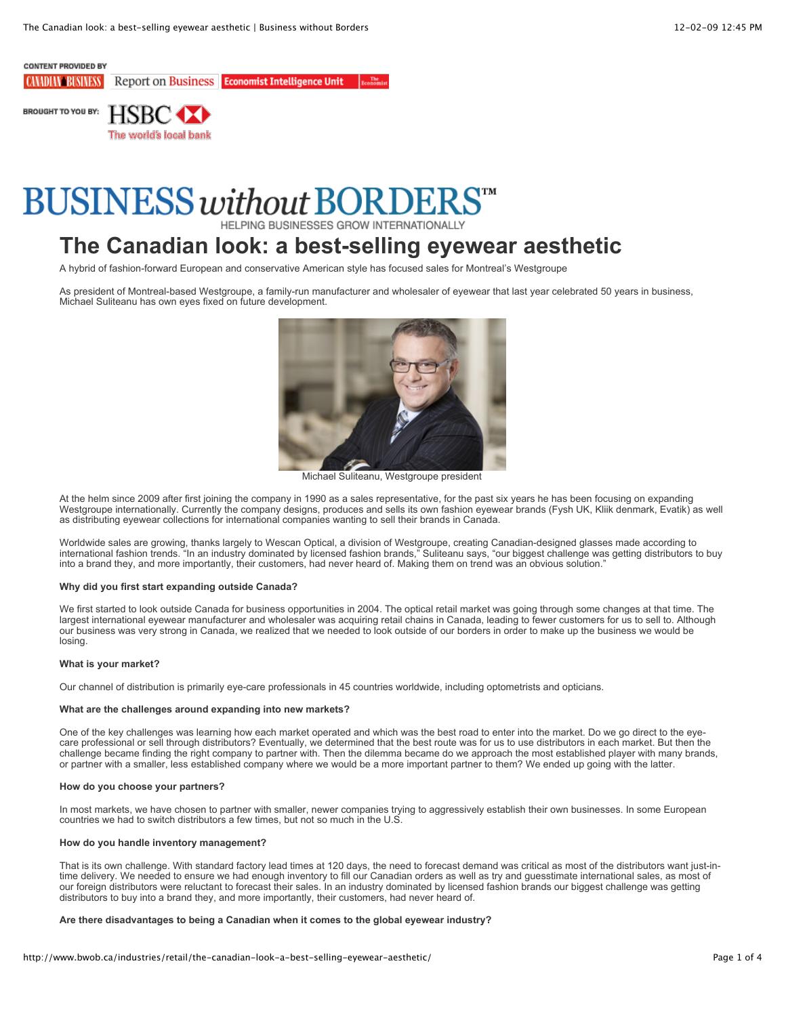# **CONTENT PROVIDED BY**

**Report on Business Economist Intelligence Unit CAMDIAN BUSINESS** 



# **BUSINESS without BORDER**

HELPING BUSINESSES GROW INTERNATIONALLY

# **The Canadian look: a best-selling eyewear aesthetic**

A hybrid of fashion-forward European and conservative American style has focused sales for Montreal's Westgroupe

As president of Montreal-based Westgroupe, a family-run manufacturer and wholesaler of eyewear that last year celebrated 50 years in business, Michael Suliteanu has own eyes fixed on future development.



Michael Suliteanu, Westgroupe president

At the helm since 2009 after first joining the company in 1990 as a sales representative, for the past six years he has been focusing on expanding Westgroupe internationally. Currently the company designs, produces and sells its own fashion eyewear brands (Fysh UK, Kliik denmark, Evatik) as well as distributing eyewear collections for international companies wanting to sell their brands in Canada.

Worldwide sales are growing, thanks largely to Wescan Optical, a division of Westgroupe, creating Canadian-designed glasses made according to international fashion trends. "In an industry dominated by licensed fashion brands," Suliteanu says, "our biggest challenge was getting distributors to buy into a brand they, and more importantly, their customers, had never heard of. Making them on trend was an obvious solution."

#### **Why did you first start expanding outside Canada?**

We first started to look outside Canada for business opportunities in 2004. The optical retail market was going through some changes at that time. The largest international eyewear manufacturer and wholesaler was acquiring retail chains in Canada, leading to fewer customers for us to sell to. Although our business was very strong in Canada, we realized that we needed to look outside of our borders in order to make up the business we would be losing.

#### **What is your market?**

Our channel of distribution is primarily eye-care professionals in 45 countries worldwide, including optometrists and opticians.

#### **What are the challenges around expanding into new markets?**

One of the key challenges was learning how each market operated and which was the best road to enter into the market. Do we go direct to the eyecare professional or sell through distributors? Eventually, we determined that the best route was for us to use distributors in each market. But then the challenge became finding the right company to partner with. Then the dilemma became do we approach the most established player with many brands, or partner with a smaller, less established company where we would be a more important partner to them? We ended up going with the latter.

#### **How do you choose your partners?**

In most markets, we have chosen to partner with smaller, newer companies trying to aggressively establish their own businesses. In some European countries we had to switch distributors a few times, but not so much in the U.S.

#### **How do you handle inventory management?**

That is its own challenge. With standard factory lead times at 120 days, the need to forecast demand was critical as most of the distributors want just-intime delivery. We needed to ensure we had enough inventory to fill our Canadian orders as well as try and guesstimate international sales, as most of our foreign distributors were reluctant to forecast their sales. In an industry dominated by licensed fashion brands our biggest challenge was getting distributors to buy into a brand they, and more importantly, their customers, had never heard of.

#### **Are there disadvantages to being a Canadian when it comes to the global eyewear industry?**